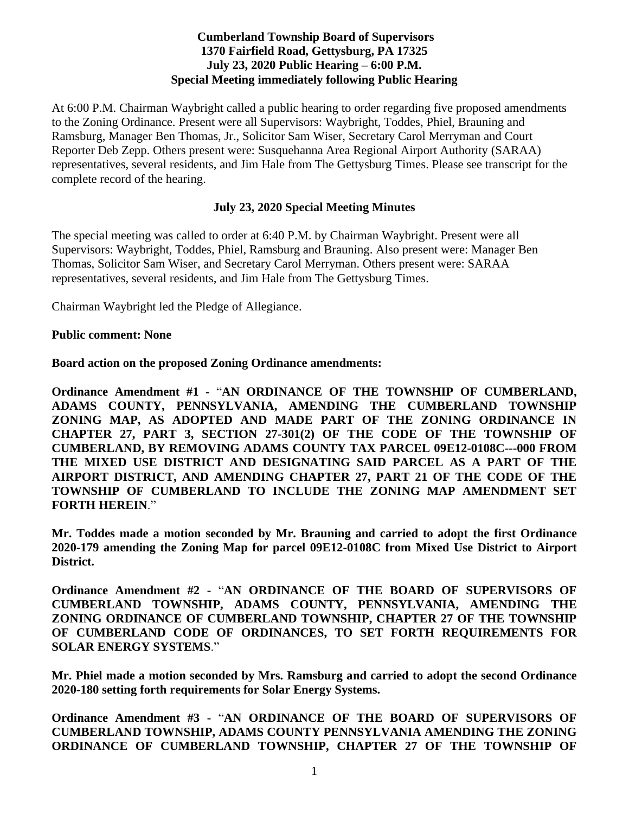# **Cumberland Township Board of Supervisors 1370 Fairfield Road, Gettysburg, PA 17325 July 23, 2020 Public Hearing – 6:00 P.M. Special Meeting immediately following Public Hearing**

At 6:00 P.M. Chairman Waybright called a public hearing to order regarding five proposed amendments to the Zoning Ordinance. Present were all Supervisors: Waybright, Toddes, Phiel, Brauning and Ramsburg, Manager Ben Thomas, Jr., Solicitor Sam Wiser, Secretary Carol Merryman and Court Reporter Deb Zepp. Others present were: Susquehanna Area Regional Airport Authority (SARAA) representatives, several residents, and Jim Hale from The Gettysburg Times. Please see transcript for the complete record of the hearing.

## **July 23, 2020 Special Meeting Minutes**

The special meeting was called to order at 6:40 P.M. by Chairman Waybright. Present were all Supervisors: Waybright, Toddes, Phiel, Ramsburg and Brauning. Also present were: Manager Ben Thomas, Solicitor Sam Wiser, and Secretary Carol Merryman. Others present were: SARAA representatives, several residents, and Jim Hale from The Gettysburg Times.

Chairman Waybright led the Pledge of Allegiance.

#### **Public comment: None**

## **Board action on the proposed Zoning Ordinance amendments:**

**Ordinance Amendment #1 -** "**AN ORDINANCE OF THE TOWNSHIP OF CUMBERLAND, ADAMS COUNTY, PENNSYLVANIA, AMENDING THE CUMBERLAND TOWNSHIP ZONING MAP, AS ADOPTED AND MADE PART OF THE ZONING ORDINANCE IN CHAPTER 27, PART 3, SECTION 27-301(2) OF THE CODE OF THE TOWNSHIP OF CUMBERLAND, BY REMOVING ADAMS COUNTY TAX PARCEL 09E12-0108C---000 FROM THE MIXED USE DISTRICT AND DESIGNATING SAID PARCEL AS A PART OF THE AIRPORT DISTRICT, AND AMENDING CHAPTER 27, PART 21 OF THE CODE OF THE TOWNSHIP OF CUMBERLAND TO INCLUDE THE ZONING MAP AMENDMENT SET FORTH HEREIN**."

**Mr. Toddes made a motion seconded by Mr. Brauning and carried to adopt the first Ordinance 2020-179 amending the Zoning Map for parcel 09E12-0108C from Mixed Use District to Airport District.** 

**Ordinance Amendment #2 -** "**AN ORDINANCE OF THE BOARD OF SUPERVISORS OF CUMBERLAND TOWNSHIP, ADAMS COUNTY, PENNSYLVANIA, AMENDING THE ZONING ORDINANCE OF CUMBERLAND TOWNSHIP, CHAPTER 27 OF THE TOWNSHIP OF CUMBERLAND CODE OF ORDINANCES, TO SET FORTH REQUIREMENTS FOR SOLAR ENERGY SYSTEMS**."

**Mr. Phiel made a motion seconded by Mrs. Ramsburg and carried to adopt the second Ordinance 2020-180 setting forth requirements for Solar Energy Systems.**

**Ordinance Amendment #3 -** "**AN ORDINANCE OF THE BOARD OF SUPERVISORS OF CUMBERLAND TOWNSHIP, ADAMS COUNTY PENNSYLVANIA AMENDING THE ZONING ORDINANCE OF CUMBERLAND TOWNSHIP, CHAPTER 27 OF THE TOWNSHIP OF**